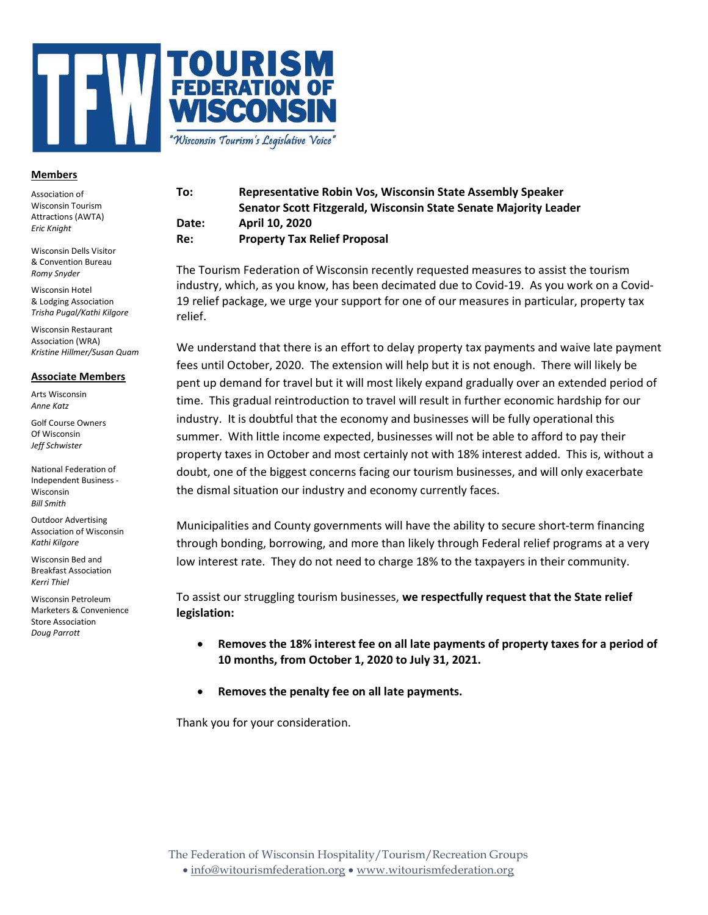

## **Members**

Association of Wisconsin Tourism Attractions (AWTA) Eric Knight

Wisconsin Dells Visitor & Convention Bureau Romy Snyder

Wisconsin Hotel & Lodging Association Trisha Pugal/Kathi Kilgore

Wisconsin Restaurant Association (WRA) Kristine Hillmer/Susan Quam

## Associate Members

Arts Wisconsin Anne Katz

Golf Course Owners Of Wisconsin Jeff Schwister

National Federation of Independent Business - Wisconsin Bill Smith

Outdoor Advertising Association of Wisconsin Kathi Kilgore

Wisconsin Bed and Breakfast Association Kerri Thiel

Wisconsin Petroleum Marketers & Convenience Store Association Doug Parrott

## To: Representative Robin Vos, Wisconsin State Assembly Speaker Senator Scott Fitzgerald, Wisconsin State Senate Majority Leader Date: April 10, 2020 Re: Property Tax Relief Proposal

The Tourism Federation of Wisconsin recently requested measures to assist the tourism industry, which, as you know, has been decimated due to Covid-19. As you work on a Covid-19 relief package, we urge your support for one of our measures in particular, property tax relief.

We understand that there is an effort to delay property tax payments and waive late payment fees until October, 2020. The extension will help but it is not enough. There will likely be pent up demand for travel but it will most likely expand gradually over an extended period of time. This gradual reintroduction to travel will result in further economic hardship for our industry. It is doubtful that the economy and businesses will be fully operational this summer. With little income expected, businesses will not be able to afford to pay their property taxes in October and most certainly not with 18% interest added. This is, without a doubt, one of the biggest concerns facing our tourism businesses, and will only exacerbate the dismal situation our industry and economy currently faces.

Municipalities and County governments will have the ability to secure short-term financing through bonding, borrowing, and more than likely through Federal relief programs at a very low interest rate. They do not need to charge 18% to the taxpayers in their community.

To assist our struggling tourism businesses, we respectfully request that the State relief legislation:

- Removes the 18% interest fee on all late payments of property taxes for a period of 10 months, from October 1, 2020 to July 31, 2021.
- Removes the penalty fee on all late payments.

Thank you for your consideration.

The Federation of Wisconsin Hospitality/Tourism/Recreation Groups

info@witourismfederation.org www.witourismfederation.org